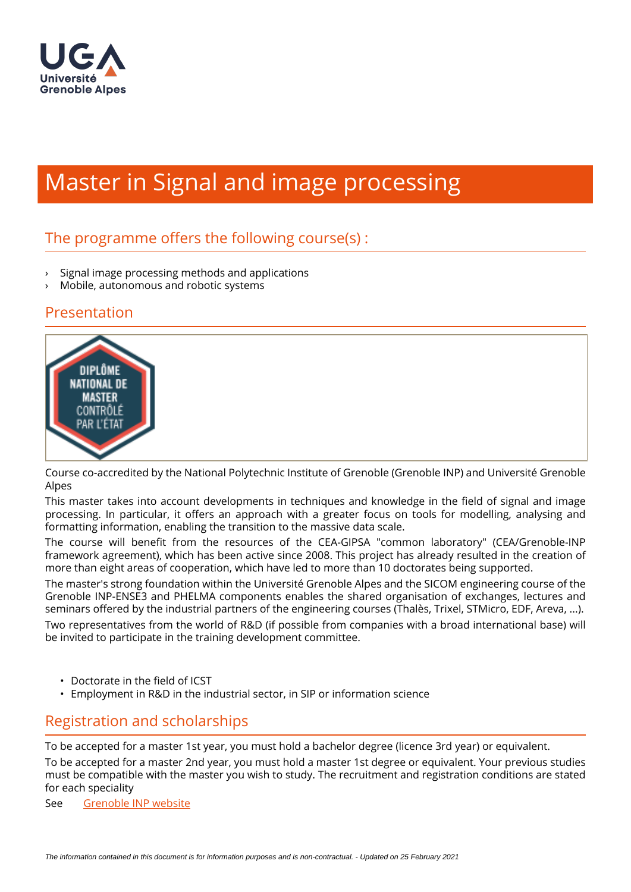

# Master in Signal and image processing

## The programme offers the following course $(s)$ :

- › Signal image processing methods and applications
- Mobile, autonomous and robotic systems

#### Presentation



Course co-accredited by the National Polytechnic Institute of Grenoble (Grenoble INP) and Université Grenoble Alpes

This master takes into account developments in techniques and knowledge in the field of signal and image processing. In particular, it offers an approach with a greater focus on tools for modelling, analysing and formatting information, enabling the transition to the massive data scale.

The course will benefit from the resources of the CEA-GIPSA "common laboratory" (CEA/Grenoble-INP framework agreement), which has been active since 2008. This project has already resulted in the creation of more than eight areas of cooperation, which have led to more than 10 doctorates being supported.

The master's strong foundation within the Université Grenoble Alpes and the SICOM engineering course of the Grenoble INP-ENSE3 and PHELMA components enables the shared organisation of exchanges, lectures and seminars offered by the industrial partners of the engineering courses (Thalès, Trixel, STMicro, EDF, Areva, ...).

Two representatives from the world of R&D (if possible from companies with a broad international base) will be invited to participate in the training development committee.

- $\cdot$  Doctorate in the field of ICST
- Employment in R&D in the industrial sector, in SIP or information science

## Registration and scholarships

To be accepted for a master 1st year, you must hold a bachelor degree (licence 3rd year) or equivalent.

To be accepted for a master 2nd year, you must hold a master 1st degree or equivalent. Your previous studies must be compatible with the master you wish to study. The recruitment and registration conditions are stated for each speciality

See [Grenoble INP website](http://www.grenoble-inp.fr/fr/formation/les-admissions)